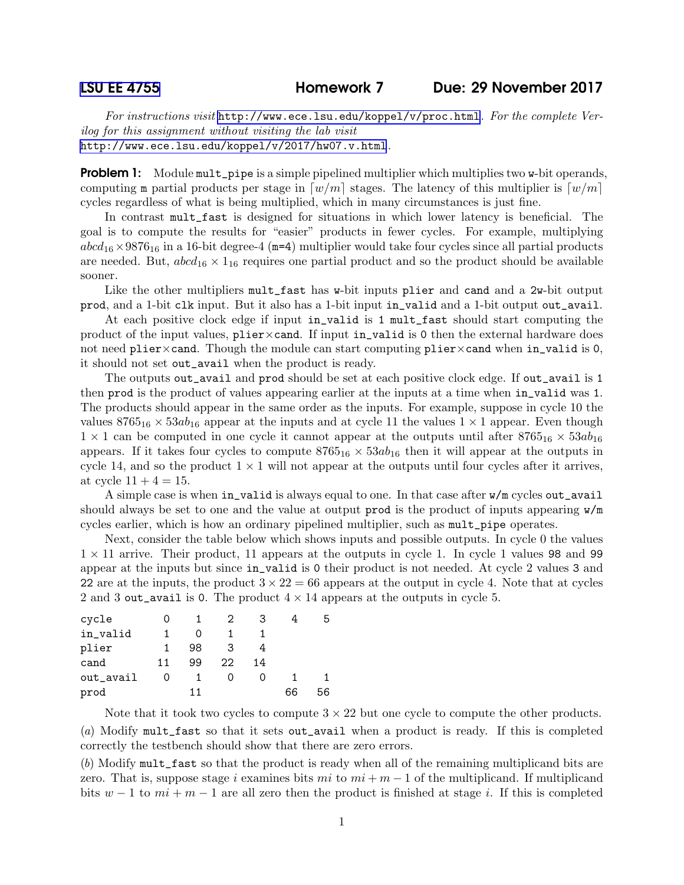For instructions visit <http://www.ece.lsu.edu/koppel/v/proc.html>. For the complete Verilog for this assignment without visiting the lab visit <http://www.ece.lsu.edu/koppel/v/2017/hw07.v.html>.

**Problem 1:** Module mult\_pipe is a simple pipelined multiplier which multiplies two w-bit operands, computing m partial products per stage in  $\lceil w/m \rceil$  stages. The latency of this multiplier is  $\lceil w/m \rceil$ cycles regardless of what is being multiplied, which in many circumstances is just fine.

In contrast mult\_fast is designed for situations in which lower latency is beneficial. The goal is to compute the results for "easier" products in fewer cycles. For example, multiplying  $abcd_{16}\times9876_{16}$  in a 16-bit degree-4 (m=4) multiplier would take four cycles since all partial products are needed. But,  $abcd_{16} \times 1_{16}$  requires one partial product and so the product should be available sooner.

Like the other multipliers mult\_fast has w-bit inputs plier and cand and a 2w-bit output prod, and a 1-bit clk input. But it also has a 1-bit input in\_valid and a 1-bit output out\_avail.

At each positive clock edge if input in\_valid is 1 mult\_fast should start computing the product of the input values,  $\nphi$ :  $\nphi$  and  $\nphi$ . If input in\_valid is 0 then the external hardware does not need plier×cand. Though the module can start computing plier×cand when in\_valid is 0, it should not set out\_avail when the product is ready.

The outputs out\_avail and prod should be set at each positive clock edge. If out\_avail is 1 then prod is the product of values appearing earlier at the inputs at a time when in\_valid was 1. The products should appear in the same order as the inputs. For example, suppose in cycle 10 the values  $8765_{16} \times 53ab_{16}$  appear at the inputs and at cycle 11 the values  $1 \times 1$  appear. Even though  $1 \times 1$  can be computed in one cycle it cannot appear at the outputs until after  $8765_{16} \times 53ab_{16}$ appears. If it takes four cycles to compute  $8765_{16} \times 53ab_{16}$  then it will appear at the outputs in cycle 14, and so the product  $1 \times 1$  will not appear at the outputs until four cycles after it arrives, at cycle  $11 + 4 = 15$ .

A simple case is when in\_valid is always equal to one. In that case after w/m cycles out\_avail should always be set to one and the value at output prod is the product of inputs appearing  $\mathbf{w}/\mathbf{m}$ cycles earlier, which is how an ordinary pipelined multiplier, such as mult\_pipe operates.

Next, consider the table below which shows inputs and possible outputs. In cycle 0 the values  $1 \times 11$  arrive. Their product, 11 appears at the outputs in cycle 1. In cycle 1 values 98 and 99 appear at the inputs but since in\_valid is 0 their product is not needed. At cycle 2 values 3 and 22 are at the inputs, the product  $3 \times 22 = 66$  appears at the output in cycle 4. Note that at cycles 2 and 3 out\_avail is 0. The product  $4 \times 14$  appears at the outputs in cycle 5.

| cycle     |                  |    | 2  |    |    |    |
|-----------|------------------|----|----|----|----|----|
| in_valid  |                  |    |    |    |    |    |
| plier     |                  | 98 | 3  |    |    |    |
| cand      | 11               | 99 | 22 | 14 |    |    |
| out_avail | $\left( \right)$ |    |    |    |    |    |
| prod      |                  | 11 |    |    | 66 | 56 |

Note that it took two cycles to compute  $3 \times 22$  but one cycle to compute the other products.

(a) Modify mult\_fast so that it sets out\_avail when a product is ready. If this is completed correctly the testbench should show that there are zero errors.

(b) Modify mult\_fast so that the product is ready when all of the remaining multiplicand bits are zero. That is, suppose stage i examines bits  $mi$  to  $mi + m - 1$  of the multiplicand. If multiplicand bits  $w - 1$  to  $mi + m - 1$  are all zero then the product is finished at stage i. If this is completed